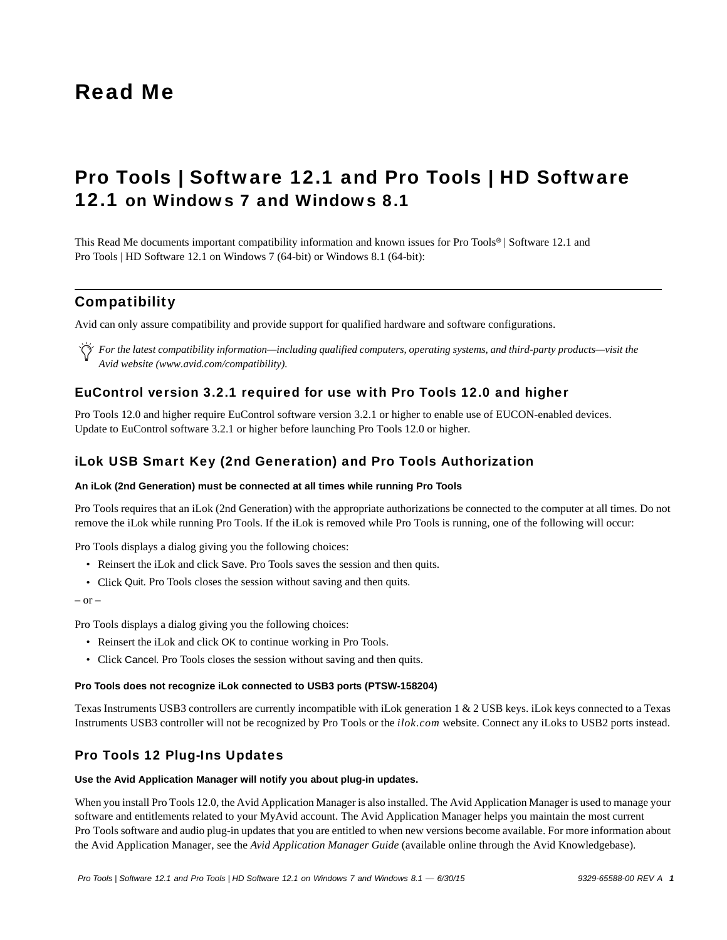# Read Me

# Pro Tools | Software 12.1 and Pro Tools | HD Software 12.1 on Windows 7 and Windows 8.1

This Read Me documents important compatibility information and known issues for Pro Tools*®* | Software 12.1 and Pro Tools | HD Software 12.1 on Windows 7 (64-bit) or Windows 8.1 (64-bit):

# **Compatibility**

Avid can only assure compatibility and provide support for qualified hardware and software configurations.

*For the latest compatibility information—including qualified computers, operating systems, and third-party products—visit the Avid website (www.avid.com/compatibility).*

# EuControl version 3.2.1 required for use with Pro Tools 12.0 and higher

Pro Tools 12.0 and higher require EuControl software version 3.2.1 or higher to enable use of EUCON-enabled devices. Update to EuControl software 3.2.1 or higher before launching Pro Tools 12.0 or higher.

# iLok USB Smart Key (2nd Generation) and Pro Tools Authorization

#### **An iLok (2nd Generation) must be connected at all times while running Pro Tools**

Pro Tools requires that an iLok (2nd Generation) with the appropriate authorizations be connected to the computer at all times. Do not remove the iLok while running Pro Tools. If the iLok is removed while Pro Tools is running, one of the following will occur:

Pro Tools displays a dialog giving you the following choices:

- Reinsert the iLok and click Save. Pro Tools saves the session and then quits.
- Click Quit. Pro Tools closes the session without saving and then quits.

 $-$  or  $-$ 

Pro Tools displays a dialog giving you the following choices:

- Reinsert the iLok and click OK to continue working in Pro Tools.
- Click Cancel. Pro Tools closes the session without saving and then quits.

#### **Pro Tools does not recognize iLok connected to USB3 ports (PTSW-158204)**

Texas Instruments USB3 controllers are currently incompatible with iLok generation 1 & 2 USB keys. iLok keys connected to a Texas Instruments USB3 controller will not be recognized by Pro Tools or the *ilok.com* website. Connect any iLoks to USB2 ports instead.

# Pro Tools 12 Plug-Ins Updates

#### **Use the Avid Application Manager will notify you about plug-in updates.**

When you install Pro Tools 12.0, the Avid Application Manager is also installed. The Avid Application Manager is used to manage your software and entitlements related to your MyAvid account. The Avid Application Manager helps you maintain the most current Pro Tools software and audio plug-in updates that you are entitled to when new versions become available. For more information about the Avid Application Manager, see the *Avid Application Manager Guide* (available online through the Avid Knowledgebase).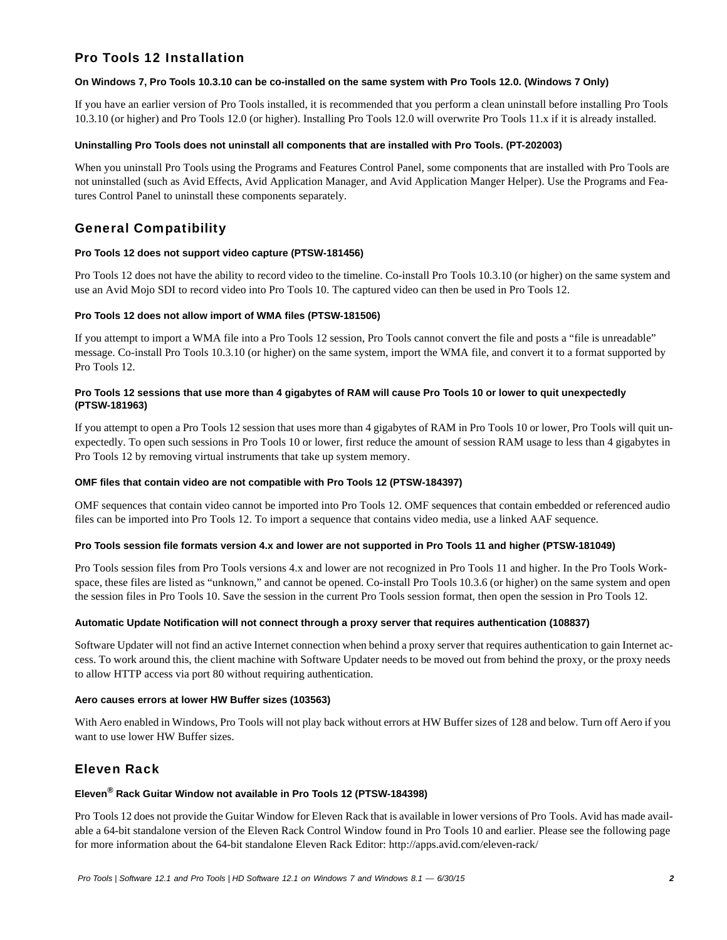# Pro Tools 12 Installation

### **On Windows 7, Pro Tools 10.3.10 can be co-installed on the same system with Pro Tools 12.0. (Windows 7 Only)**

If you have an earlier version of Pro Tools installed, it is recommended that you perform a clean uninstall before installing Pro Tools 10.3.10 (or higher) and Pro Tools 12.0 (or higher). Installing Pro Tools 12.0 will overwrite Pro Tools 11.x if it is already installed.

#### **Uninstalling Pro Tools does not uninstall all components that are installed with Pro Tools. (PT-202003)**

When you uninstall Pro Tools using the Programs and Features Control Panel, some components that are installed with Pro Tools are not uninstalled (such as Avid Effects, Avid Application Manager, and Avid Application Manger Helper). Use the Programs and Features Control Panel to uninstall these components separately.

# General Compatibility

#### **Pro Tools 12 does not support video capture (PTSW-181456)**

Pro Tools 12 does not have the ability to record video to the timeline. Co-install Pro Tools 10.3.10 (or higher) on the same system and use an Avid Mojo SDI to record video into Pro Tools 10. The captured video can then be used in Pro Tools 12.

#### **Pro Tools 12 does not allow import of WMA files (PTSW-181506)**

If you attempt to import a WMA file into a Pro Tools 12 session, Pro Tools cannot convert the file and posts a "file is unreadable" message. Co-install Pro Tools 10.3.10 (or higher) on the same system, import the WMA file, and convert it to a format supported by Pro Tools 12.

### **Pro Tools 12 sessions that use more than 4 gigabytes of RAM will cause Pro Tools 10 or lower to quit unexpectedly (PTSW-181963)**

If you attempt to open a Pro Tools 12 session that uses more than 4 gigabytes of RAM in Pro Tools 10 or lower, Pro Tools will quit unexpectedly. To open such sessions in Pro Tools 10 or lower, first reduce the amount of session RAM usage to less than 4 gigabytes in Pro Tools 12 by removing virtual instruments that take up system memory.

#### **OMF files that contain video are not compatible with Pro Tools 12 (PTSW-184397)**

OMF sequences that contain video cannot be imported into Pro Tools 12. OMF sequences that contain embedded or referenced audio files can be imported into Pro Tools 12. To import a sequence that contains video media, use a linked AAF sequence.

#### **Pro Tools session file formats version 4.x and lower are not supported in Pro Tools 11 and higher (PTSW-181049)**

Pro Tools session files from Pro Tools versions 4.x and lower are not recognized in Pro Tools 11 and higher. In the Pro Tools Workspace, these files are listed as "unknown," and cannot be opened. Co-install Pro Tools 10.3.6 (or higher) on the same system and open the session files in Pro Tools 10. Save the session in the current Pro Tools session format, then open the session in Pro Tools 12.

#### **Automatic Update Notification will not connect through a proxy server that requires authentication (108837)**

Software Updater will not find an active Internet connection when behind a proxy server that requires authentication to gain Internet access. To work around this, the client machine with Software Updater needs to be moved out from behind the proxy, or the proxy needs to allow HTTP access via port 80 without requiring authentication.

#### **Aero causes errors at lower HW Buffer sizes (103563)**

With Aero enabled in Windows, Pro Tools will not play back without errors at HW Buffer sizes of 128 and below. Turn off Aero if you want to use lower HW Buffer sizes.

# Eleven Rack

# **Eleven® Rack Guitar Window not available in Pro Tools 12 (PTSW-184398)**

Pro Tools 12 does not provide the Guitar Window for Eleven Rack that is available in lower versions of Pro Tools. Avid has made available a 64-bit standalone version of the Eleven Rack Control Window found in Pro Tools 10 and earlier. Please see the following page for more information about the 64-bit standalone Eleven Rack Editor: http://apps.avid.com/eleven-rack/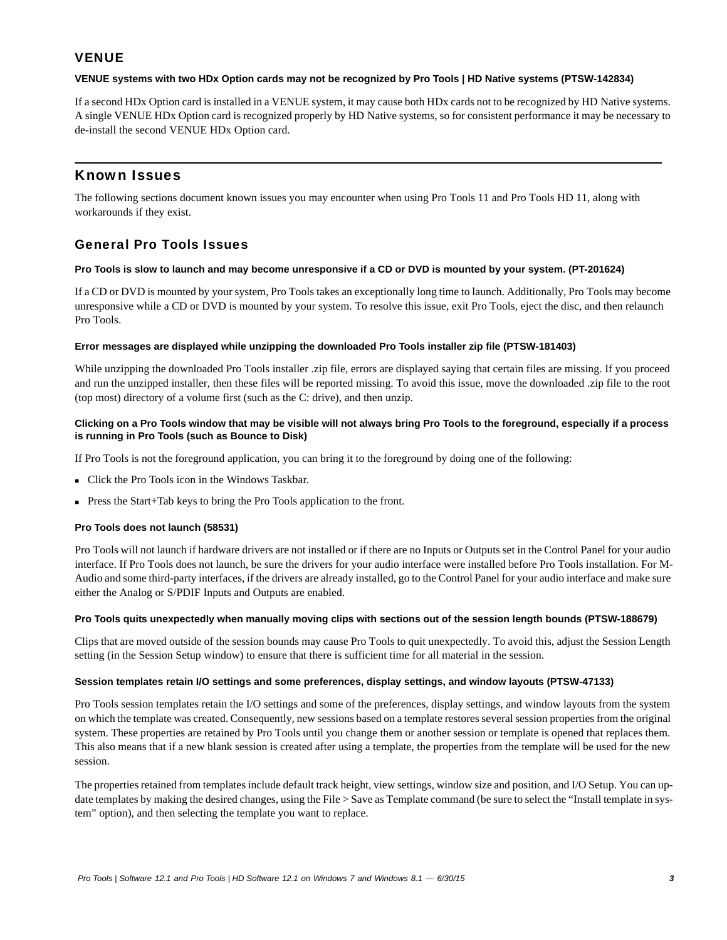# **VENUE**

#### **VENUE systems with two HDx Option cards may not be recognized by Pro Tools | HD Native systems (PTSW-142834)**

If a second HDx Option card is installed in a VENUE system, it may cause both HDx cards not to be recognized by HD Native systems. A single VENUE HDx Option card is recognized properly by HD Native systems, so for consistent performance it may be necessary to de-install the second VENUE HDx Option card.

# Known Issues

The following sections document known issues you may encounter when using Pro Tools 11 and Pro Tools HD 11, along with workarounds if they exist.

# General Pro Tools Issues

#### **Pro Tools is slow to launch and may become unresponsive if a CD or DVD is mounted by your system. (PT-201624)**

If a CD or DVD is mounted by your system, Pro Tools takes an exceptionally long time to launch. Additionally, Pro Tools may become unresponsive while a CD or DVD is mounted by your system. To resolve this issue, exit Pro Tools, eject the disc, and then relaunch Pro Tools.

#### **Error messages are displayed while unzipping the downloaded Pro Tools installer zip file (PTSW-181403)**

While unzipping the downloaded Pro Tools installer .zip file, errors are displayed saying that certain files are missing. If you proceed and run the unzipped installer, then these files will be reported missing. To avoid this issue, move the downloaded .zip file to the root (top most) directory of a volume first (such as the C: drive), and then unzip.

### **Clicking on a Pro Tools window that may be visible will not always bring Pro Tools to the foreground, especially if a process is running in Pro Tools (such as Bounce to Disk)**

If Pro Tools is not the foreground application, you can bring it to the foreground by doing one of the following:

- Click the Pro Tools icon in the Windows Taskbar.
- Press the Start+Tab keys to bring the Pro Tools application to the front.

# **Pro Tools does not launch (58531)**

Pro Tools will not launch if hardware drivers are not installed or if there are no Inputs or Outputs set in the Control Panel for your audio interface. If Pro Tools does not launch, be sure the drivers for your audio interface were installed before Pro Tools installation. For M-Audio and some third-party interfaces, if the drivers are already installed, go to the Control Panel for your audio interface and make sure either the Analog or S/PDIF Inputs and Outputs are enabled.

# **Pro Tools quits unexpectedly when manually moving clips with sections out of the session length bounds (PTSW-188679)**

Clips that are moved outside of the session bounds may cause Pro Tools to quit unexpectedly. To avoid this, adjust the Session Length setting (in the Session Setup window) to ensure that there is sufficient time for all material in the session.

# **Session templates retain I/O settings and some preferences, display settings, and window layouts (PTSW-47133)**

Pro Tools session templates retain the I/O settings and some of the preferences, display settings, and window layouts from the system on which the template was created. Consequently, new sessions based on a template restores several session properties from the original system. These properties are retained by Pro Tools until you change them or another session or template is opened that replaces them. This also means that if a new blank session is created after using a template, the properties from the template will be used for the new session.

The properties retained from templates include default track height, view settings, window size and position, and I/O Setup. You can update templates by making the desired changes, using the File > Save as Template command (be sure to select the "Install template in system" option), and then selecting the template you want to replace.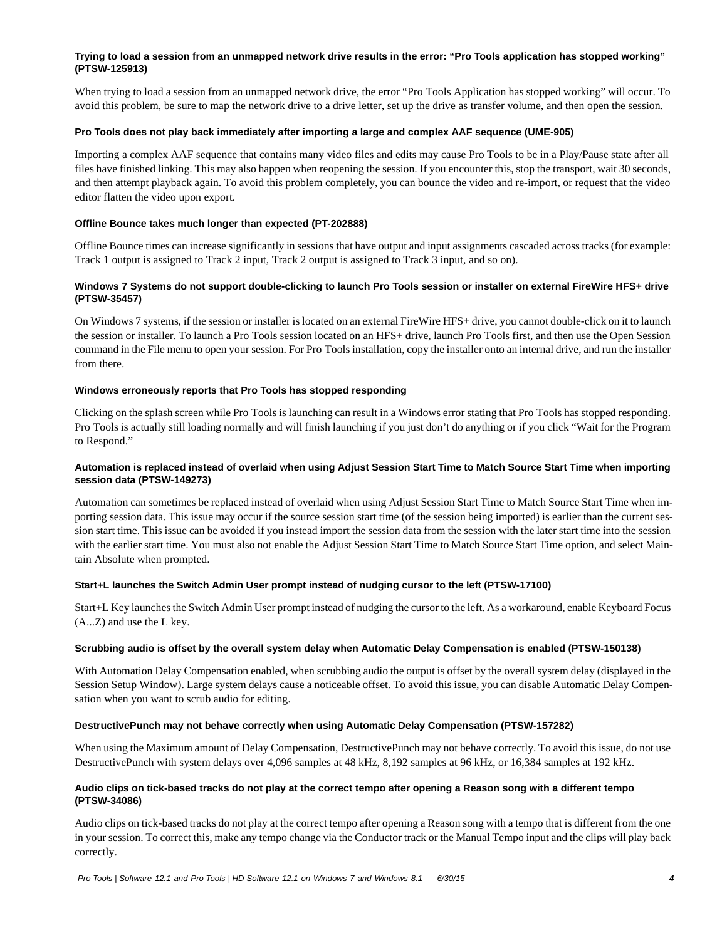# **Trying to load a session from an unmapped network drive results in the error: "Pro Tools application has stopped working" (PTSW-125913)**

When trying to load a session from an unmapped network drive, the error "Pro Tools Application has stopped working" will occur. To avoid this problem, be sure to map the network drive to a drive letter, set up the drive as transfer volume, and then open the session.

#### **Pro Tools does not play back immediately after importing a large and complex AAF sequence (UME-905)**

Importing a complex AAF sequence that contains many video files and edits may cause Pro Tools to be in a Play/Pause state after all files have finished linking. This may also happen when reopening the session. If you encounter this, stop the transport, wait 30 seconds, and then attempt playback again. To avoid this problem completely, you can bounce the video and re-import, or request that the video editor flatten the video upon export.

### **Offline Bounce takes much longer than expected (PT-202888)**

Offline Bounce times can increase significantly in sessions that have output and input assignments cascaded across tracks (for example: Track 1 output is assigned to Track 2 input, Track 2 output is assigned to Track 3 input, and so on).

# **Windows 7 Systems do not support double-clicking to launch Pro Tools session or installer on external FireWire HFS+ drive (PTSW-35457)**

On Windows 7 systems, if the session or installer is located on an external FireWire HFS+ drive, you cannot double-click on it to launch the session or installer. To launch a Pro Tools session located on an HFS+ drive, launch Pro Tools first, and then use the Open Session command in the File menu to open your session. For Pro Tools installation, copy the installer onto an internal drive, and run the installer from there.

### **Windows erroneously reports that Pro Tools has stopped responding**

Clicking on the splash screen while Pro Tools is launching can result in a Windows error stating that Pro Tools has stopped responding. Pro Tools is actually still loading normally and will finish launching if you just don't do anything or if you click "Wait for the Program to Respond."

# **Automation is replaced instead of overlaid when using Adjust Session Start Time to Match Source Start Time when importing session data (PTSW-149273)**

Automation can sometimes be replaced instead of overlaid when using Adjust Session Start Time to Match Source Start Time when importing session data. This issue may occur if the source session start time (of the session being imported) is earlier than the current session start time. This issue can be avoided if you instead import the session data from the session with the later start time into the session with the earlier start time. You must also not enable the Adjust Session Start Time to Match Source Start Time option, and select Maintain Absolute when prompted.

# **Start+L launches the Switch Admin User prompt instead of nudging cursor to the left (PTSW-17100)**

Start+L Key launches the Switch Admin User prompt instead of nudging the cursor to the left. As a workaround, enable Keyboard Focus (A...Z) and use the L key.

#### **Scrubbing audio is offset by the overall system delay when Automatic Delay Compensation is enabled (PTSW-150138)**

With Automation Delay Compensation enabled, when scrubbing audio the output is offset by the overall system delay (displayed in the Session Setup Window). Large system delays cause a noticeable offset. To avoid this issue, you can disable Automatic Delay Compensation when you want to scrub audio for editing.

#### **DestructivePunch may not behave correctly when using Automatic Delay Compensation (PTSW-157282)**

When using the Maximum amount of Delay Compensation, DestructivePunch may not behave correctly. To avoid this issue, do not use DestructivePunch with system delays over 4,096 samples at 48 kHz, 8,192 samples at 96 kHz, or 16,384 samples at 192 kHz.

#### **Audio clips on tick-based tracks do not play at the correct tempo after opening a Reason song with a different tempo (PTSW-34086)**

Audio clips on tick-based tracks do not play at the correct tempo after opening a Reason song with a tempo that is different from the one in your session. To correct this, make any tempo change via the Conductor track or the Manual Tempo input and the clips will play back correctly.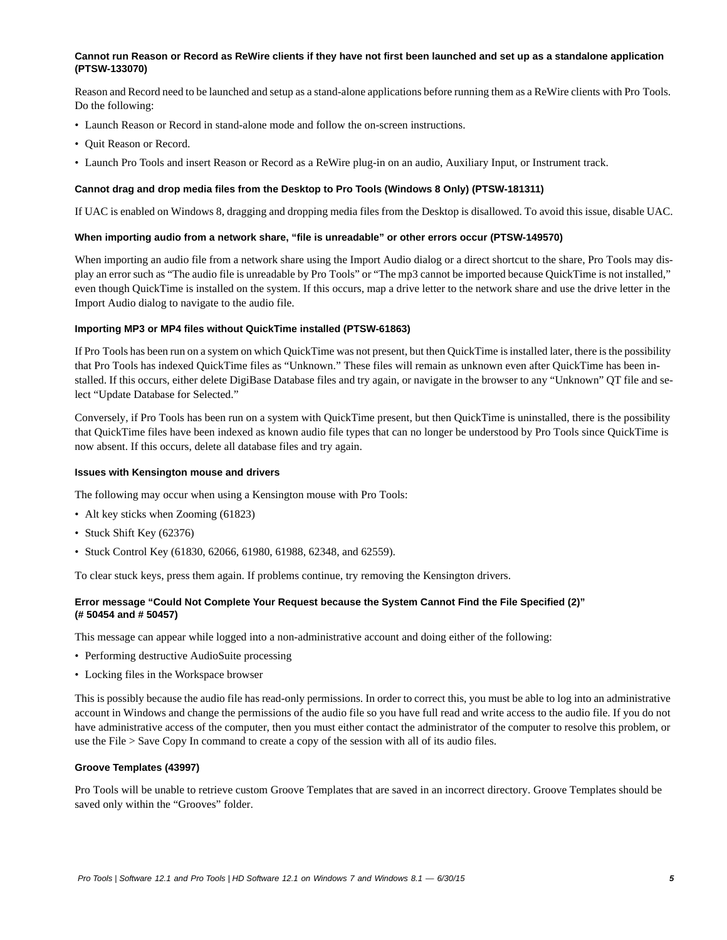#### **Cannot run Reason or Record as ReWire clients if they have not first been launched and set up as a standalone application (PTSW-133070)**

Reason and Record need to be launched and setup as a stand-alone applications before running them as a ReWire clients with Pro Tools. Do the following:

- Launch Reason or Record in stand-alone mode and follow the on-screen instructions.
- Quit Reason or Record.
- Launch Pro Tools and insert Reason or Record as a ReWire plug-in on an audio, Auxiliary Input, or Instrument track.

#### **Cannot drag and drop media files from the Desktop to Pro Tools (Windows 8 Only) (PTSW-181311)**

If UAC is enabled on Windows 8, dragging and dropping media files from the Desktop is disallowed. To avoid this issue, disable UAC.

#### **When importing audio from a network share, "file is unreadable" or other errors occur (PTSW-149570)**

When importing an audio file from a network share using the Import Audio dialog or a direct shortcut to the share, Pro Tools may display an error such as "The audio file is unreadable by Pro Tools" or "The mp3 cannot be imported because QuickTime is not installed," even though QuickTime is installed on the system. If this occurs, map a drive letter to the network share and use the drive letter in the Import Audio dialog to navigate to the audio file.

#### **Importing MP3 or MP4 files without QuickTime installed (PTSW-61863)**

If Pro Tools has been run on a system on which QuickTime was not present, but then QuickTime is installed later, there is the possibility that Pro Tools has indexed QuickTime files as "Unknown." These files will remain as unknown even after QuickTime has been installed. If this occurs, either delete DigiBase Database files and try again, or navigate in the browser to any "Unknown" QT file and select "Update Database for Selected."

Conversely, if Pro Tools has been run on a system with QuickTime present, but then QuickTime is uninstalled, there is the possibility that QuickTime files have been indexed as known audio file types that can no longer be understood by Pro Tools since QuickTime is now absent. If this occurs, delete all database files and try again.

#### **Issues with Kensington mouse and drivers**

The following may occur when using a Kensington mouse with Pro Tools:

- Alt key sticks when Zooming (61823)
- Stuck Shift Key (62376)
- Stuck Control Key (61830, 62066, 61980, 61988, 62348, and 62559).

To clear stuck keys, press them again. If problems continue, try removing the Kensington drivers.

# **Error message "Could Not Complete Your Request because the System Cannot Find the File Specified (2)" (# 50454 and # 50457)**

This message can appear while logged into a non-administrative account and doing either of the following:

- Performing destructive AudioSuite processing
- Locking files in the Workspace browser

This is possibly because the audio file has read-only permissions. In order to correct this, you must be able to log into an administrative account in Windows and change the permissions of the audio file so you have full read and write access to the audio file. If you do not have administrative access of the computer, then you must either contact the administrator of the computer to resolve this problem, or use the File > Save Copy In command to create a copy of the session with all of its audio files.

#### **Groove Templates (43997)**

Pro Tools will be unable to retrieve custom Groove Templates that are saved in an incorrect directory. Groove Templates should be saved only within the "Grooves" folder.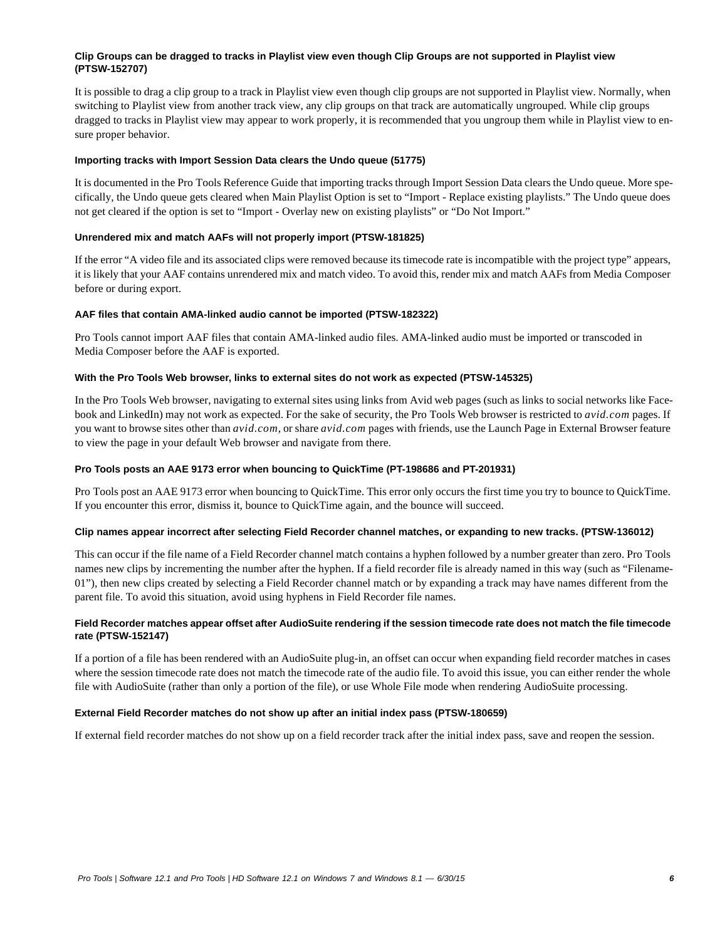# **Clip Groups can be dragged to tracks in Playlist view even though Clip Groups are not supported in Playlist view (PTSW-152707)**

It is possible to drag a clip group to a track in Playlist view even though clip groups are not supported in Playlist view. Normally, when switching to Playlist view from another track view, any clip groups on that track are automatically ungrouped. While clip groups dragged to tracks in Playlist view may appear to work properly, it is recommended that you ungroup them while in Playlist view to ensure proper behavior.

#### **Importing tracks with Import Session Data clears the Undo queue (51775)**

It is documented in the Pro Tools Reference Guide that importing tracks through Import Session Data clears the Undo queue. More specifically, the Undo queue gets cleared when Main Playlist Option is set to "Import - Replace existing playlists." The Undo queue does not get cleared if the option is set to "Import - Overlay new on existing playlists" or "Do Not Import."

#### **Unrendered mix and match AAFs will not properly import (PTSW-181825)**

If the error "A video file and its associated clips were removed because its timecode rate is incompatible with the project type" appears, it is likely that your AAF contains unrendered mix and match video. To avoid this, render mix and match AAFs from Media Composer before or during export.

#### **AAF files that contain AMA-linked audio cannot be imported (PTSW-182322)**

Pro Tools cannot import AAF files that contain AMA-linked audio files. AMA-linked audio must be imported or transcoded in Media Composer before the AAF is exported.

#### **With the Pro Tools Web browser, links to external sites do not work as expected (PTSW-145325)**

In the Pro Tools Web browser, navigating to external sites using links from Avid web pages (such as links to social networks like Facebook and LinkedIn) may not work as expected. For the sake of security, the Pro Tools Web browser is restricted to *avid.com* pages. If you want to browse sites other than *avid.com*, or share *avid.com* pages with friends, use the Launch Page in External Browser feature to view the page in your default Web browser and navigate from there.

# **Pro Tools posts an AAE 9173 error when bouncing to QuickTime (PT-198686 and PT-201931)**

Pro Tools post an AAE 9173 error when bouncing to QuickTime. This error only occurs the first time you try to bounce to QuickTime. If you encounter this error, dismiss it, bounce to QuickTime again, and the bounce will succeed.

#### **Clip names appear incorrect after selecting Field Recorder channel matches, or expanding to new tracks. (PTSW-136012)**

This can occur if the file name of a Field Recorder channel match contains a hyphen followed by a number greater than zero. Pro Tools names new clips by incrementing the number after the hyphen. If a field recorder file is already named in this way (such as "Filename-01"), then new clips created by selecting a Field Recorder channel match or by expanding a track may have names different from the parent file. To avoid this situation, avoid using hyphens in Field Recorder file names.

# **Field Recorder matches appear offset after AudioSuite rendering if the session timecode rate does not match the file timecode rate (PTSW-152147)**

If a portion of a file has been rendered with an AudioSuite plug-in, an offset can occur when expanding field recorder matches in cases where the session timecode rate does not match the timecode rate of the audio file. To avoid this issue, you can either render the whole file with AudioSuite (rather than only a portion of the file), or use Whole File mode when rendering AudioSuite processing.

#### **External Field Recorder matches do not show up after an initial index pass (PTSW-180659)**

If external field recorder matches do not show up on a field recorder track after the initial index pass, save and reopen the session.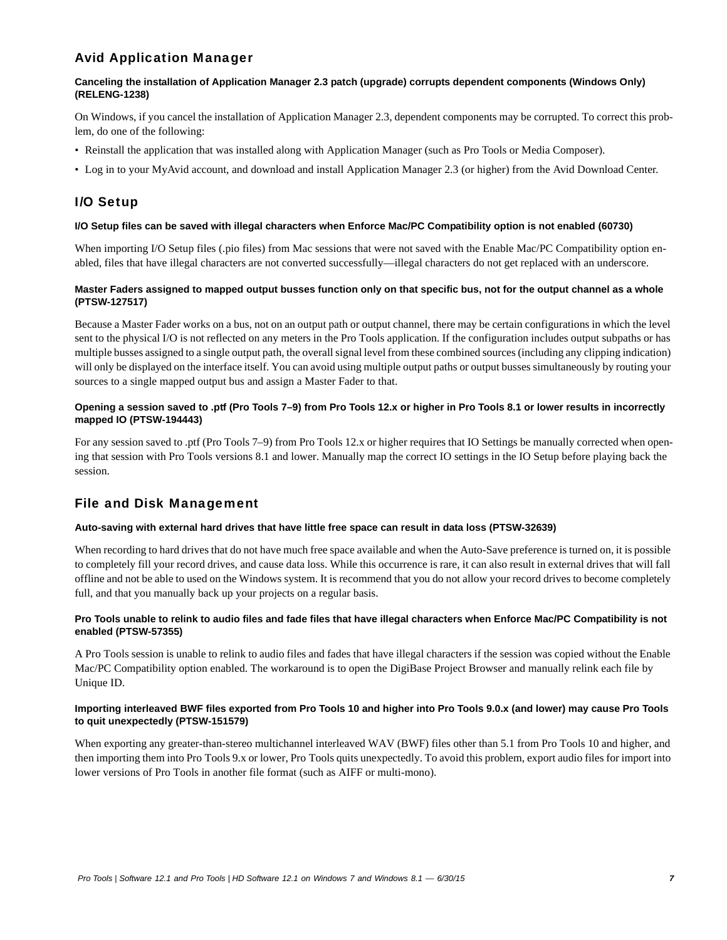# Avid Application Manager

# **Canceling the installation of Application Manager 2.3 patch (upgrade) corrupts dependent components (Windows Only) (RELENG-1238)**

On Windows, if you cancel the installation of Application Manager 2.3, dependent components may be corrupted. To correct this problem, do one of the following:

- Reinstall the application that was installed along with Application Manager (such as Pro Tools or Media Composer).
- Log in to your MyAvid account, and download and install Application Manager 2.3 (or higher) from the Avid Download Center.

# I/O Setup

# **I/O Setup files can be saved with illegal characters when Enforce Mac/PC Compatibility option is not enabled (60730)**

When importing I/O Setup files (.pio files) from Mac sessions that were not saved with the Enable Mac/PC Compatibility option enabled, files that have illegal characters are not converted successfully—illegal characters do not get replaced with an underscore.

# **Master Faders assigned to mapped output busses function only on that specific bus, not for the output channel as a whole (PTSW-127517)**

Because a Master Fader works on a bus, not on an output path or output channel, there may be certain configurations in which the level sent to the physical I/O is not reflected on any meters in the Pro Tools application. If the configuration includes output subpaths or has multiple busses assigned to a single output path, the overall signal level from these combined sources (including any clipping indication) will only be displayed on the interface itself. You can avoid using multiple output paths or output busses simultaneously by routing your sources to a single mapped output bus and assign a Master Fader to that.

# **Opening a session saved to .ptf (Pro Tools 7–9) from Pro Tools 12.x or higher in Pro Tools 8.1 or lower results in incorrectly mapped IO (PTSW-194443)**

For any session saved to .ptf (Pro Tools 7–9) from Pro Tools 12.x or higher requires that IO Settings be manually corrected when opening that session with Pro Tools versions 8.1 and lower. Manually map the correct IO settings in the IO Setup before playing back the session.

# File and Disk Management

# **Auto-saving with external hard drives that have little free space can result in data loss (PTSW-32639)**

When recording to hard drives that do not have much free space available and when the Auto-Save preference is turned on, it is possible to completely fill your record drives, and cause data loss. While this occurrence is rare, it can also result in external drives that will fall offline and not be able to used on the Windows system. It is recommend that you do not allow your record drives to become completely full, and that you manually back up your projects on a regular basis.

# **Pro Tools unable to relink to audio files and fade files that have illegal characters when Enforce Mac/PC Compatibility is not enabled (PTSW-57355)**

A Pro Tools session is unable to relink to audio files and fades that have illegal characters if the session was copied without the Enable Mac/PC Compatibility option enabled. The workaround is to open the DigiBase Project Browser and manually relink each file by Unique ID.

#### **Importing interleaved BWF files exported from Pro Tools 10 and higher into Pro Tools 9.0.x (and lower) may cause Pro Tools to quit unexpectedly (PTSW-151579)**

When exporting any greater-than-stereo multichannel interleaved WAV (BWF) files other than 5.1 from Pro Tools 10 and higher, and then importing them into Pro Tools 9.x or lower, Pro Tools quits unexpectedly. To avoid this problem, export audio files for import into lower versions of Pro Tools in another file format (such as AIFF or multi-mono).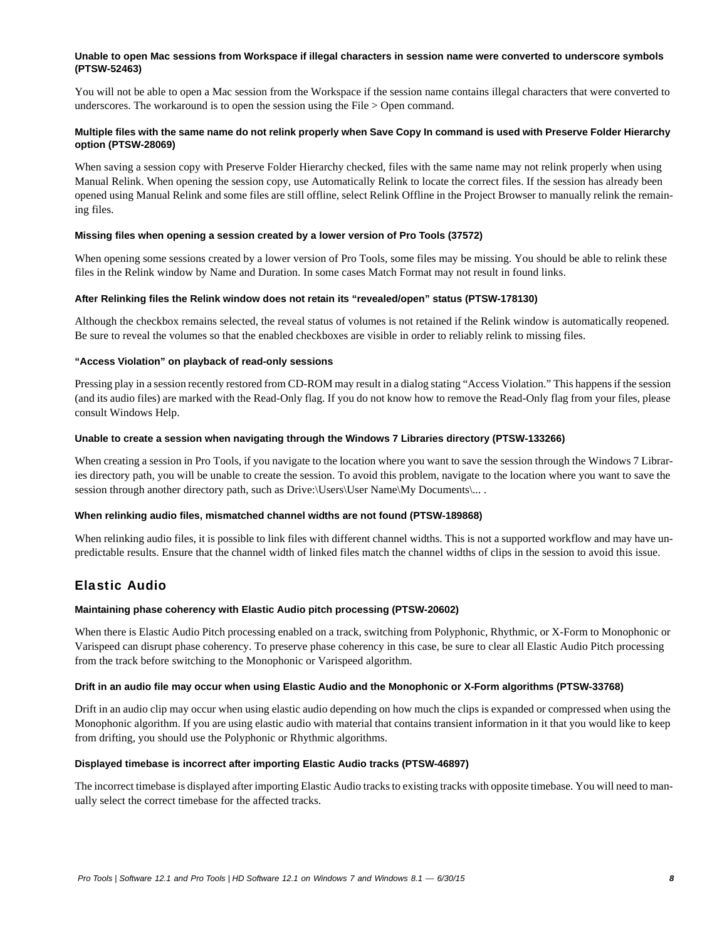#### **Unable to open Mac sessions from Workspace if illegal characters in session name were converted to underscore symbols (PTSW-52463)**

You will not be able to open a Mac session from the Workspace if the session name contains illegal characters that were converted to underscores. The workaround is to open the session using the File > Open command.

# **Multiple files with the same name do not relink properly when Save Copy In command is used with Preserve Folder Hierarchy option (PTSW-28069)**

When saving a session copy with Preserve Folder Hierarchy checked, files with the same name may not relink properly when using Manual Relink. When opening the session copy, use Automatically Relink to locate the correct files. If the session has already been opened using Manual Relink and some files are still offline, select Relink Offline in the Project Browser to manually relink the remaining files.

#### **Missing files when opening a session created by a lower version of Pro Tools (37572)**

When opening some sessions created by a lower version of Pro Tools, some files may be missing. You should be able to relink these files in the Relink window by Name and Duration. In some cases Match Format may not result in found links.

#### **After Relinking files the Relink window does not retain its "revealed/open" status (PTSW-178130)**

Although the checkbox remains selected, the reveal status of volumes is not retained if the Relink window is automatically reopened. Be sure to reveal the volumes so that the enabled checkboxes are visible in order to reliably relink to missing files.

#### **"Access Violation" on playback of read-only sessions**

Pressing play in a session recently restored from CD-ROM may result in a dialog stating "Access Violation." This happens if the session (and its audio files) are marked with the Read-Only flag. If you do not know how to remove the Read-Only flag from your files, please consult Windows Help.

#### **Unable to create a session when navigating through the Windows 7 Libraries directory (PTSW-133266)**

When creating a session in Pro Tools, if you navigate to the location where you want to save the session through the Windows 7 Libraries directory path, you will be unable to create the session. To avoid this problem, navigate to the location where you want to save the session through another directory path, such as Drive:\Users\User Name\My Documents\... .

#### **When relinking audio files, mismatched channel widths are not found (PTSW-189868)**

When relinking audio files, it is possible to link files with different channel widths. This is not a supported workflow and may have unpredictable results. Ensure that the channel width of linked files match the channel widths of clips in the session to avoid this issue.

# Elastic Audio

#### **Maintaining phase coherency with Elastic Audio pitch processing (PTSW-20602)**

When there is Elastic Audio Pitch processing enabled on a track, switching from Polyphonic, Rhythmic, or X-Form to Monophonic or Varispeed can disrupt phase coherency. To preserve phase coherency in this case, be sure to clear all Elastic Audio Pitch processing from the track before switching to the Monophonic or Varispeed algorithm.

#### **Drift in an audio file may occur when using Elastic Audio and the Monophonic or X-Form algorithms (PTSW-33768)**

Drift in an audio clip may occur when using elastic audio depending on how much the clips is expanded or compressed when using the Monophonic algorithm. If you are using elastic audio with material that contains transient information in it that you would like to keep from drifting, you should use the Polyphonic or Rhythmic algorithms.

#### **Displayed timebase is incorrect after importing Elastic Audio tracks (PTSW-46897)**

The incorrect timebase is displayed after importing Elastic Audio tracks to existing tracks with opposite timebase. You will need to manually select the correct timebase for the affected tracks.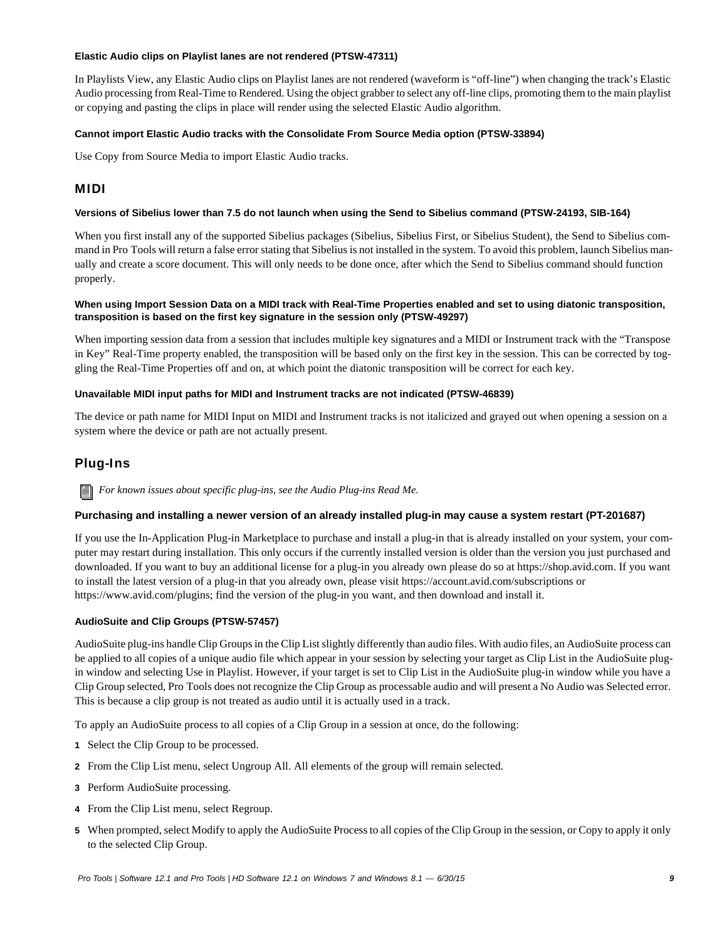#### **Elastic Audio clips on Playlist lanes are not rendered (PTSW-47311)**

In Playlists View, any Elastic Audio clips on Playlist lanes are not rendered (waveform is "off-line") when changing the track's Elastic Audio processing from Real-Time to Rendered. Using the object grabber to select any off-line clips, promoting them to the main playlist or copying and pasting the clips in place will render using the selected Elastic Audio algorithm.

### **Cannot import Elastic Audio tracks with the Consolidate From Source Media option (PTSW-33894)**

Use Copy from Source Media to import Elastic Audio tracks.

# MIDI

### **Versions of Sibelius lower than 7.5 do not launch when using the Send to Sibelius command (PTSW-24193, SIB-164)**

When you first install any of the supported Sibelius packages (Sibelius, Sibelius First, or Sibelius Student), the Send to Sibelius command in Pro Tools will return a false error stating that Sibelius is not installed in the system. To avoid this problem, launch Sibelius manually and create a score document. This will only needs to be done once, after which the Send to Sibelius command should function properly.

# **When using Import Session Data on a MIDI track with Real-Time Properties enabled and set to using diatonic transposition, transposition is based on the first key signature in the session only (PTSW-49297)**

When importing session data from a session that includes multiple key signatures and a MIDI or Instrument track with the "Transpose in Key" Real-Time property enabled, the transposition will be based only on the first key in the session. This can be corrected by toggling the Real-Time Properties off and on, at which point the diatonic transposition will be correct for each key.

#### **Unavailable MIDI input paths for MIDI and Instrument tracks are not indicated (PTSW-46839)**

The device or path name for MIDI Input on MIDI and Instrument tracks is not italicized and grayed out when opening a session on a system where the device or path are not actually present.

# Plug-Ins

*For known issues about specific plug-ins, see the Audio Plug-ins Read Me.*

# **Purchasing and installing a newer version of an already installed plug-in may cause a system restart (PT-201687)**

If you use the In-Application Plug-in Marketplace to purchase and install a plug-in that is already installed on your system, your computer may restart during installation. This only occurs if the currently installed version is older than the version you just purchased and downloaded. If you want to buy an additional license for a plug-in you already own please do so at https://shop.avid.com. If you want to install the latest version of a plug-in that you already own, please visit https://account.avid.com/subscriptions or https://www.avid.com/plugins; find the version of the plug-in you want, and then download and install it.

# **AudioSuite and Clip Groups (PTSW-57457)**

AudioSuite plug-ins handle Clip Groups in the Clip List slightly differently than audio files. With audio files, an AudioSuite process can be applied to all copies of a unique audio file which appear in your session by selecting your target as Clip List in the AudioSuite plugin window and selecting Use in Playlist. However, if your target is set to Clip List in the AudioSuite plug-in window while you have a Clip Group selected, Pro Tools does not recognize the Clip Group as processable audio and will present a No Audio was Selected error. This is because a clip group is not treated as audio until it is actually used in a track.

To apply an AudioSuite process to all copies of a Clip Group in a session at once, do the following:

- **1** Select the Clip Group to be processed.
- **2** From the Clip List menu, select Ungroup All. All elements of the group will remain selected.
- **3** Perform AudioSuite processing.
- **4** From the Clip List menu, select Regroup.
- **5** When prompted, select Modify to apply the AudioSuite Process to all copies of the Clip Group in the session, or Copy to apply it only to the selected Clip Group.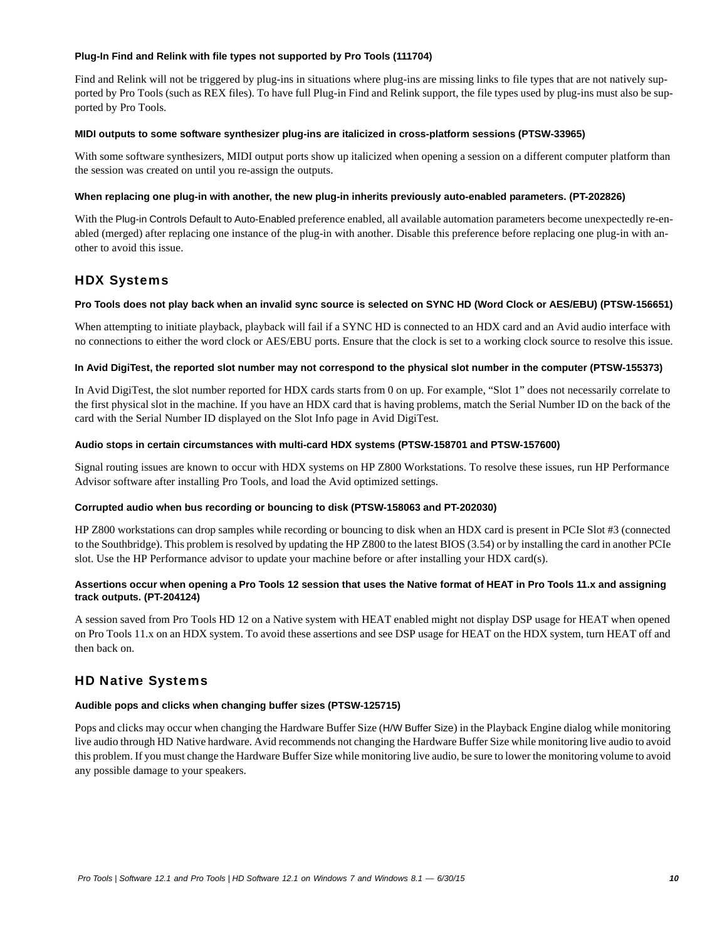#### **Plug-In Find and Relink with file types not supported by Pro Tools (111704)**

Find and Relink will not be triggered by plug-ins in situations where plug-ins are missing links to file types that are not natively supported by Pro Tools (such as REX files). To have full Plug-in Find and Relink support, the file types used by plug-ins must also be supported by Pro Tools.

### **MIDI outputs to some software synthesizer plug-ins are italicized in cross-platform sessions (PTSW-33965)**

With some software synthesizers, MIDI output ports show up italicized when opening a session on a different computer platform than the session was created on until you re-assign the outputs.

### **When replacing one plug-in with another, the new plug-in inherits previously auto-enabled parameters. (PT-202826)**

With the Plug-in Controls Default to Auto-Enabled preference enabled, all available automation parameters become unexpectedly re-enabled (merged) after replacing one instance of the plug-in with another. Disable this preference before replacing one plug-in with another to avoid this issue.

# HDX Systems

# **Pro Tools does not play back when an invalid sync source is selected on SYNC HD (Word Clock or AES/EBU) (PTSW-156651)**

When attempting to initiate playback, playback will fail if a SYNC HD is connected to an HDX card and an Avid audio interface with no connections to either the word clock or AES/EBU ports. Ensure that the clock is set to a working clock source to resolve this issue.

#### **In Avid DigiTest, the reported slot number may not correspond to the physical slot number in the computer (PTSW-155373)**

In Avid DigiTest, the slot number reported for HDX cards starts from 0 on up. For example, "Slot 1" does not necessarily correlate to the first physical slot in the machine. If you have an HDX card that is having problems, match the Serial Number ID on the back of the card with the Serial Number ID displayed on the Slot Info page in Avid DigiTest.

#### **Audio stops in certain circumstances with multi-card HDX systems (PTSW-158701 and PTSW-157600)**

Signal routing issues are known to occur with HDX systems on HP Z800 Workstations. To resolve these issues, run HP Performance Advisor software after installing Pro Tools, and load the Avid optimized settings.

# **Corrupted audio when bus recording or bouncing to disk (PTSW-158063 and PT-202030)**

HP Z800 workstations can drop samples while recording or bouncing to disk when an HDX card is present in PCIe Slot #3 (connected to the Southbridge). This problem is resolved by updating the HP Z800 to the latest BIOS (3.54) or by installing the card in another PCIe slot. Use the HP Performance advisor to update your machine before or after installing your HDX card(s).

# **Assertions occur when opening a Pro Tools 12 session that uses the Native format of HEAT in Pro Tools 11.x and assigning track outputs. (PT-204124)**

A session saved from Pro Tools HD 12 on a Native system with HEAT enabled might not display DSP usage for HEAT when opened on Pro Tools 11.x on an HDX system. To avoid these assertions and see DSP usage for HEAT on the HDX system, turn HEAT off and then back on.

# HD Native Systems

# **Audible pops and clicks when changing buffer sizes (PTSW-125715)**

Pops and clicks may occur when changing the Hardware Buffer Size (H/W Buffer Size) in the Playback Engine dialog while monitoring live audio through HD Native hardware. Avid recommends not changing the Hardware Buffer Size while monitoring live audio to avoid this problem. If you must change the Hardware Buffer Size while monitoring live audio, be sure to lower the monitoring volume to avoid any possible damage to your speakers.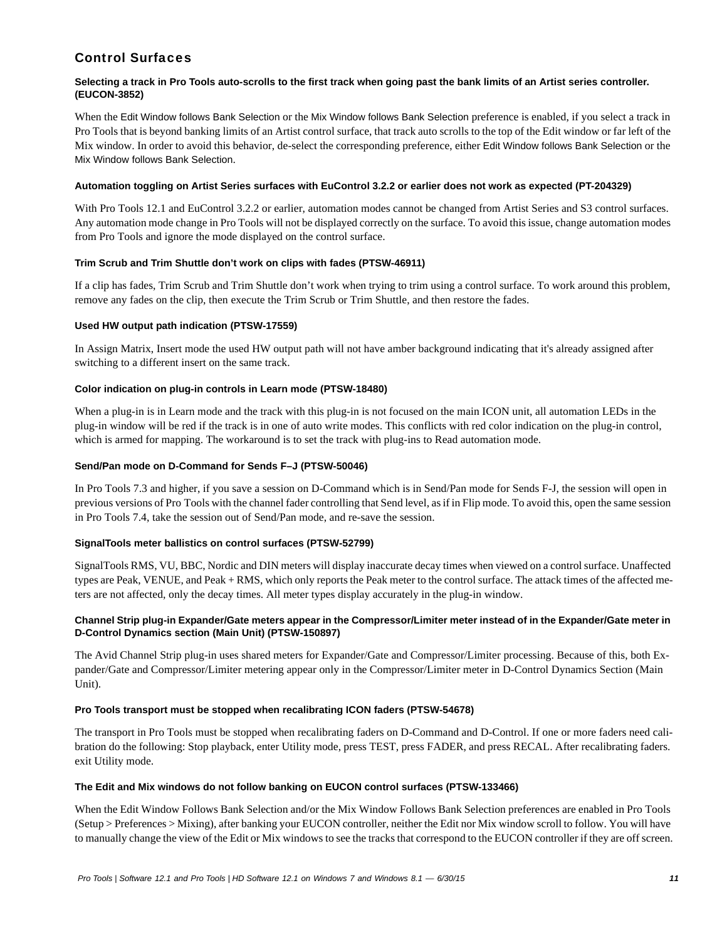# Control Surfaces

# **Selecting a track in Pro Tools auto-scrolls to the first track when going past the bank limits of an Artist series controller. (EUCON-3852)**

When the Edit Window follows Bank Selection or the Mix Window follows Bank Selection preference is enabled, if you select a track in Pro Tools that is beyond banking limits of an Artist control surface, that track auto scrolls to the top of the Edit window or far left of the Mix window. In order to avoid this behavior, de-select the corresponding preference, either Edit Window follows Bank Selection or the Mix Window follows Bank Selection.

# **Automation toggling on Artist Series surfaces with EuControl 3.2.2 or earlier does not work as expected (PT-204329)**

With Pro Tools 12.1 and EuControl 3.2.2 or earlier, automation modes cannot be changed from Artist Series and S3 control surfaces. Any automation mode change in Pro Tools will not be displayed correctly on the surface. To avoid this issue, change automation modes from Pro Tools and ignore the mode displayed on the control surface.

# **Trim Scrub and Trim Shuttle don't work on clips with fades (PTSW-46911)**

If a clip has fades, Trim Scrub and Trim Shuttle don't work when trying to trim using a control surface. To work around this problem, remove any fades on the clip, then execute the Trim Scrub or Trim Shuttle, and then restore the fades.

# **Used HW output path indication (PTSW-17559)**

In Assign Matrix, Insert mode the used HW output path will not have amber background indicating that it's already assigned after switching to a different insert on the same track.

# **Color indication on plug-in controls in Learn mode (PTSW-18480)**

When a plug-in is in Learn mode and the track with this plug-in is not focused on the main ICON unit, all automation LEDs in the plug-in window will be red if the track is in one of auto write modes. This conflicts with red color indication on the plug-in control, which is armed for mapping. The workaround is to set the track with plug-ins to Read automation mode.

# **Send/Pan mode on D-Command for Sends F–J (PTSW-50046)**

In Pro Tools 7.3 and higher, if you save a session on D-Command which is in Send/Pan mode for Sends F-J, the session will open in previous versions of Pro Tools with the channel fader controlling that Send level, as if in Flip mode. To avoid this, open the same session in Pro Tools 7.4, take the session out of Send/Pan mode, and re-save the session.

# **SignalTools meter ballistics on control surfaces (PTSW-52799)**

SignalTools RMS, VU, BBC, Nordic and DIN meters will display inaccurate decay times when viewed on a control surface. Unaffected types are Peak, VENUE, and Peak + RMS, which only reports the Peak meter to the control surface. The attack times of the affected meters are not affected, only the decay times. All meter types display accurately in the plug-in window.

# **Channel Strip plug-in Expander/Gate meters appear in the Compressor/Limiter meter instead of in the Expander/Gate meter in D-Control Dynamics section (Main Unit) (PTSW-150897)**

The Avid Channel Strip plug-in uses shared meters for Expander/Gate and Compressor/Limiter processing. Because of this, both Expander/Gate and Compressor/Limiter metering appear only in the Compressor/Limiter meter in D-Control Dynamics Section (Main Unit).

# **Pro Tools transport must be stopped when recalibrating ICON faders (PTSW-54678)**

The transport in Pro Tools must be stopped when recalibrating faders on D-Command and D-Control. If one or more faders need calibration do the following: Stop playback, enter Utility mode, press TEST, press FADER, and press RECAL. After recalibrating faders. exit Utility mode.

# **The Edit and Mix windows do not follow banking on EUCON control surfaces (PTSW-133466)**

When the Edit Window Follows Bank Selection and/or the Mix Window Follows Bank Selection preferences are enabled in Pro Tools (Setup > Preferences > Mixing), after banking your EUCON controller, neither the Edit nor Mix window scroll to follow. You will have to manually change the view of the Edit or Mix windows to see the tracks that correspond to the EUCON controller if they are off screen.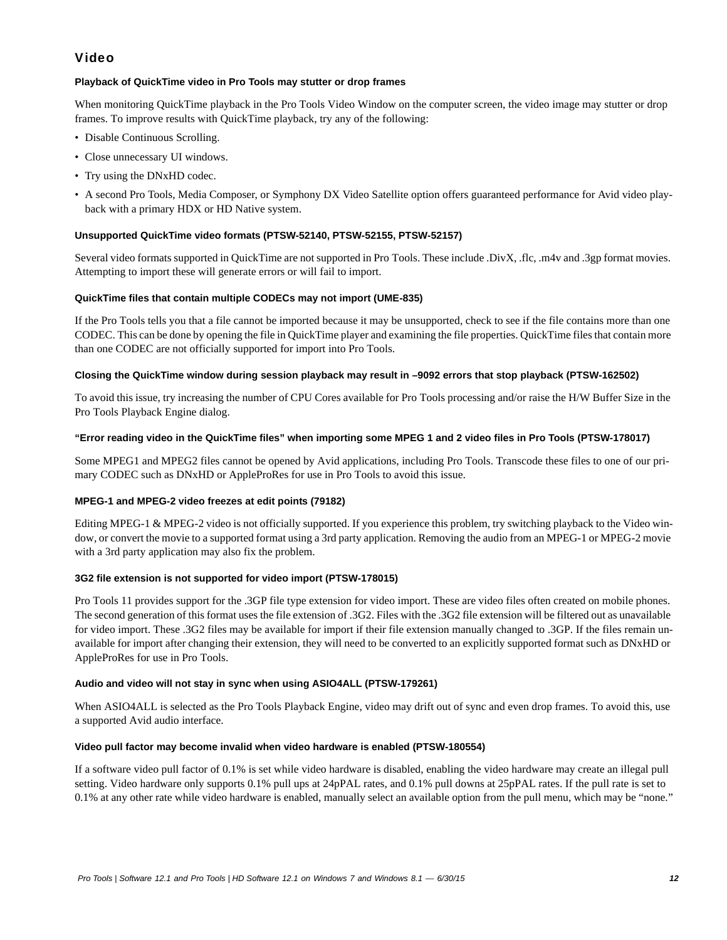# Video

# **Playback of QuickTime video in Pro Tools may stutter or drop frames**

When monitoring QuickTime playback in the Pro Tools Video Window on the computer screen, the video image may stutter or drop frames. To improve results with QuickTime playback, try any of the following:

- Disable Continuous Scrolling.
- Close unnecessary UI windows.
- Try using the DNxHD codec.
- A second Pro Tools, Media Composer, or Symphony DX Video Satellite option offers guaranteed performance for Avid video playback with a primary HDX or HD Native system.

# **Unsupported QuickTime video formats (PTSW-52140, PTSW-52155, PTSW-52157)**

Several video formats supported in QuickTime are not supported in Pro Tools. These include .DivX, .flc, .m4v and .3gp format movies. Attempting to import these will generate errors or will fail to import.

# **QuickTime files that contain multiple CODECs may not import (UME-835)**

If the Pro Tools tells you that a file cannot be imported because it may be unsupported, check to see if the file contains more than one CODEC. This can be done by opening the file in QuickTime player and examining the file properties. QuickTime files that contain more than one CODEC are not officially supported for import into Pro Tools.

# **Closing the QuickTime window during session playback may result in –9092 errors that stop playback (PTSW-162502)**

To avoid this issue, try increasing the number of CPU Cores available for Pro Tools processing and/or raise the H/W Buffer Size in the Pro Tools Playback Engine dialog.

# **"Error reading video in the QuickTime files" when importing some MPEG 1 and 2 video files in Pro Tools (PTSW-178017)**

Some MPEG1 and MPEG2 files cannot be opened by Avid applications, including Pro Tools. Transcode these files to one of our primary CODEC such as DNxHD or AppleProRes for use in Pro Tools to avoid this issue.

# **MPEG-1 and MPEG-2 video freezes at edit points (79182)**

Editing MPEG-1 & MPEG-2 video is not officially supported. If you experience this problem, try switching playback to the Video window, or convert the movie to a supported format using a 3rd party application. Removing the audio from an MPEG-1 or MPEG-2 movie with a 3rd party application may also fix the problem.

# **3G2 file extension is not supported for video import (PTSW-178015)**

Pro Tools 11 provides support for the .3GP file type extension for video import. These are video files often created on mobile phones. The second generation of this format uses the file extension of .3G2. Files with the .3G2 file extension will be filtered out as unavailable for video import. These .3G2 files may be available for import if their file extension manually changed to .3GP. If the files remain unavailable for import after changing their extension, they will need to be converted to an explicitly supported format such as DNxHD or AppleProRes for use in Pro Tools.

# **Audio and video will not stay in sync when using ASIO4ALL (PTSW-179261)**

When ASIO4ALL is selected as the Pro Tools Playback Engine, video may drift out of sync and even drop frames. To avoid this, use a supported Avid audio interface.

# **Video pull factor may become invalid when video hardware is enabled (PTSW-180554)**

If a software video pull factor of 0.1% is set while video hardware is disabled, enabling the video hardware may create an illegal pull setting. Video hardware only supports 0.1% pull ups at 24pPAL rates, and 0.1% pull downs at 25pPAL rates. If the pull rate is set to 0.1% at any other rate while video hardware is enabled, manually select an available option from the pull menu, which may be "none."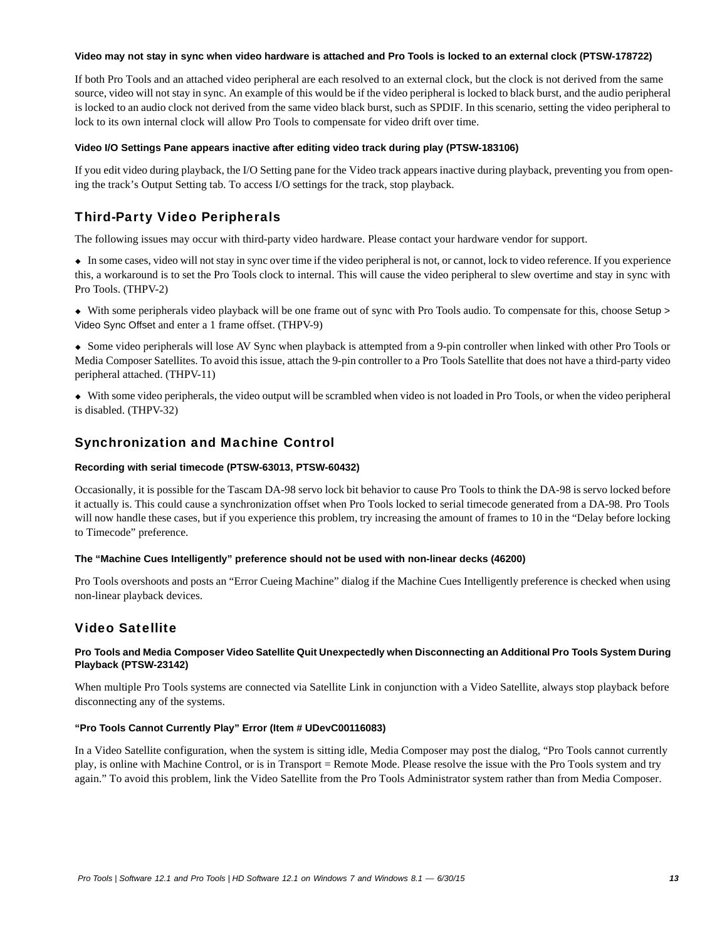#### **Video may not stay in sync when video hardware is attached and Pro Tools is locked to an external clock (PTSW-178722)**

If both Pro Tools and an attached video peripheral are each resolved to an external clock, but the clock is not derived from the same source, video will not stay in sync. An example of this would be if the video peripheral is locked to black burst, and the audio peripheral is locked to an audio clock not derived from the same video black burst, such as SPDIF. In this scenario, setting the video peripheral to lock to its own internal clock will allow Pro Tools to compensate for video drift over time.

#### **Video I/O Settings Pane appears inactive after editing video track during play (PTSW-183106)**

If you edit video during playback, the I/O Setting pane for the Video track appears inactive during playback, preventing you from opening the track's Output Setting tab. To access I/O settings for the track, stop playback.

# Third-Party Video Peripherals

The following issues may occur with third-party video hardware. Please contact your hardware vendor for support.

 In some cases, video will not stay in sync over time if the video peripheral is not, or cannot, lock to video reference. If you experience this, a workaround is to set the Pro Tools clock to internal. This will cause the video peripheral to slew overtime and stay in sync with Pro Tools. (THPV-2)

 With some peripherals video playback will be one frame out of sync with Pro Tools audio. To compensate for this, choose Setup > Video Sync Offset and enter a 1 frame offset. (THPV-9)

 Some video peripherals will lose AV Sync when playback is attempted from a 9-pin controller when linked with other Pro Tools or Media Composer Satellites. To avoid this issue, attach the 9-pin controller to a Pro Tools Satellite that does not have a third-party video peripheral attached. (THPV-11)

 With some video peripherals, the video output will be scrambled when video is not loaded in Pro Tools, or when the video peripheral is disabled. (THPV-32)

# Synchronization and Machine Control

#### **Recording with serial timecode (PTSW-63013, PTSW-60432)**

Occasionally, it is possible for the Tascam DA-98 servo lock bit behavior to cause Pro Tools to think the DA-98 is servo locked before it actually is. This could cause a synchronization offset when Pro Tools locked to serial timecode generated from a DA-98. Pro Tools will now handle these cases, but if you experience this problem, try increasing the amount of frames to 10 in the "Delay before locking to Timecode" preference.

#### **The "Machine Cues Intelligently" preference should not be used with non-linear decks (46200)**

Pro Tools overshoots and posts an "Error Cueing Machine" dialog if the Machine Cues Intelligently preference is checked when using non-linear playback devices.

# Video Satellite

#### **Pro Tools and Media Composer Video Satellite Quit Unexpectedly when Disconnecting an Additional Pro Tools System During Playback (PTSW-23142)**

When multiple Pro Tools systems are connected via Satellite Link in conjunction with a Video Satellite, always stop playback before disconnecting any of the systems.

#### **"Pro Tools Cannot Currently Play" Error (Item # UDevC00116083)**

In a Video Satellite configuration, when the system is sitting idle, Media Composer may post the dialog, "Pro Tools cannot currently play, is online with Machine Control, or is in Transport = Remote Mode. Please resolve the issue with the Pro Tools system and try again." To avoid this problem, link the Video Satellite from the Pro Tools Administrator system rather than from Media Composer.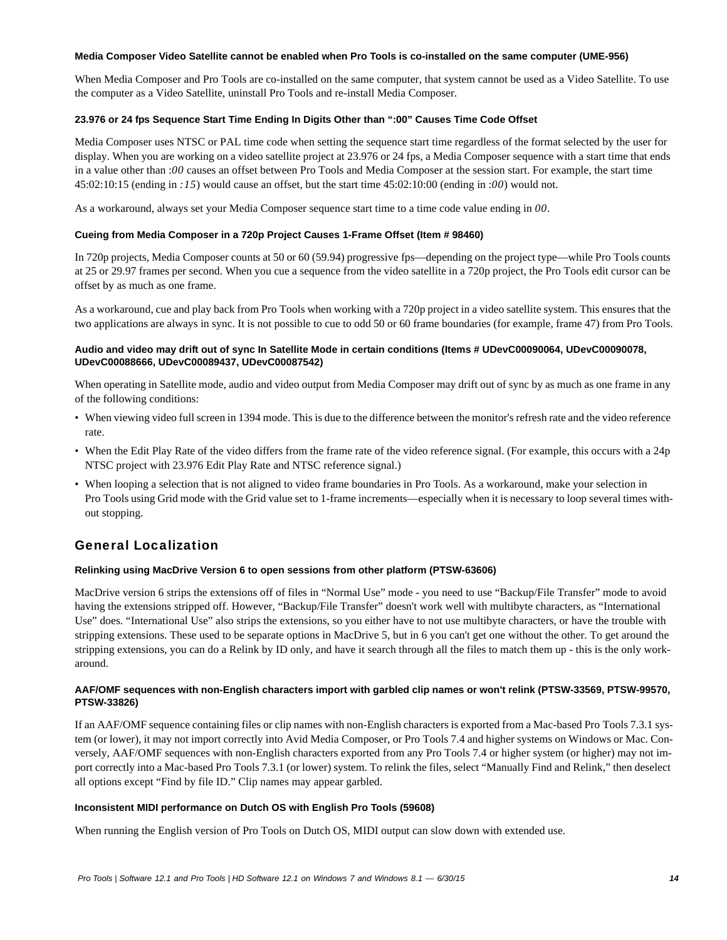#### **Media Composer Video Satellite cannot be enabled when Pro Tools is co-installed on the same computer (UME-956)**

When Media Composer and Pro Tools are co-installed on the same computer, that system cannot be used as a Video Satellite. To use the computer as a Video Satellite, uninstall Pro Tools and re-install Media Composer.

# **23.976 or 24 fps Sequence Start Time Ending In Digits Other than ":00" Causes Time Code Offset**

Media Composer uses NTSC or PAL time code when setting the sequence start time regardless of the format selected by the user for display. When you are working on a video satellite project at 23.976 or 24 fps, a Media Composer sequence with a start time that ends in a value other than :*00* causes an offset between Pro Tools and Media Composer at the session start. For example, the start time 45:02:10:15 (ending in *:15*) would cause an offset, but the start time 45:02:10:00 (ending in :*00*) would not.

As a workaround, always set your Media Composer sequence start time to a time code value ending in *00*.

# **Cueing from Media Composer in a 720p Project Causes 1-Frame Offset (Item # 98460)**

In 720p projects, Media Composer counts at 50 or 60 (59.94) progressive fps—depending on the project type—while Pro Tools counts at 25 or 29.97 frames per second. When you cue a sequence from the video satellite in a 720p project, the Pro Tools edit cursor can be offset by as much as one frame.

As a workaround, cue and play back from Pro Tools when working with a 720p project in a video satellite system. This ensures that the two applications are always in sync. It is not possible to cue to odd 50 or 60 frame boundaries (for example, frame 47) from Pro Tools.

# **Audio and video may drift out of sync In Satellite Mode in certain conditions (Items # UDevC00090064, UDevC00090078, UDevC00088666, UDevC00089437, UDevC00087542)**

When operating in Satellite mode, audio and video output from Media Composer may drift out of sync by as much as one frame in any of the following conditions:

- When viewing video full screen in 1394 mode. This is due to the difference between the monitor's refresh rate and the video reference rate.
- When the Edit Play Rate of the video differs from the frame rate of the video reference signal. (For example, this occurs with a 24p NTSC project with 23.976 Edit Play Rate and NTSC reference signal.)
- When looping a selection that is not aligned to video frame boundaries in Pro Tools. As a workaround, make your selection in Pro Tools using Grid mode with the Grid value set to 1-frame increments—especially when it is necessary to loop several times without stopping.

# General Localization

# **Relinking using MacDrive Version 6 to open sessions from other platform (PTSW-63606)**

MacDrive version 6 strips the extensions off of files in "Normal Use" mode - you need to use "Backup/File Transfer" mode to avoid having the extensions stripped off. However, "Backup/File Transfer" doesn't work well with multibyte characters, as "International Use" does. "International Use" also strips the extensions, so you either have to not use multibyte characters, or have the trouble with stripping extensions. These used to be separate options in MacDrive 5, but in 6 you can't get one without the other. To get around the stripping extensions, you can do a Relink by ID only, and have it search through all the files to match them up - this is the only workaround.

# **AAF/OMF sequences with non-English characters import with garbled clip names or won't relink (PTSW-33569, PTSW-99570, PTSW-33826)**

If an AAF/OMF sequence containing files or clip names with non-English characters is exported from a Mac-based Pro Tools 7.3.1 system (or lower), it may not import correctly into Avid Media Composer, or Pro Tools 7.4 and higher systems on Windows or Mac. Conversely, AAF/OMF sequences with non-English characters exported from any Pro Tools 7.4 or higher system (or higher) may not import correctly into a Mac-based Pro Tools 7.3.1 (or lower) system. To relink the files, select "Manually Find and Relink," then deselect all options except "Find by file ID." Clip names may appear garbled.

# **Inconsistent MIDI performance on Dutch OS with English Pro Tools (59608)**

When running the English version of Pro Tools on Dutch OS, MIDI output can slow down with extended use.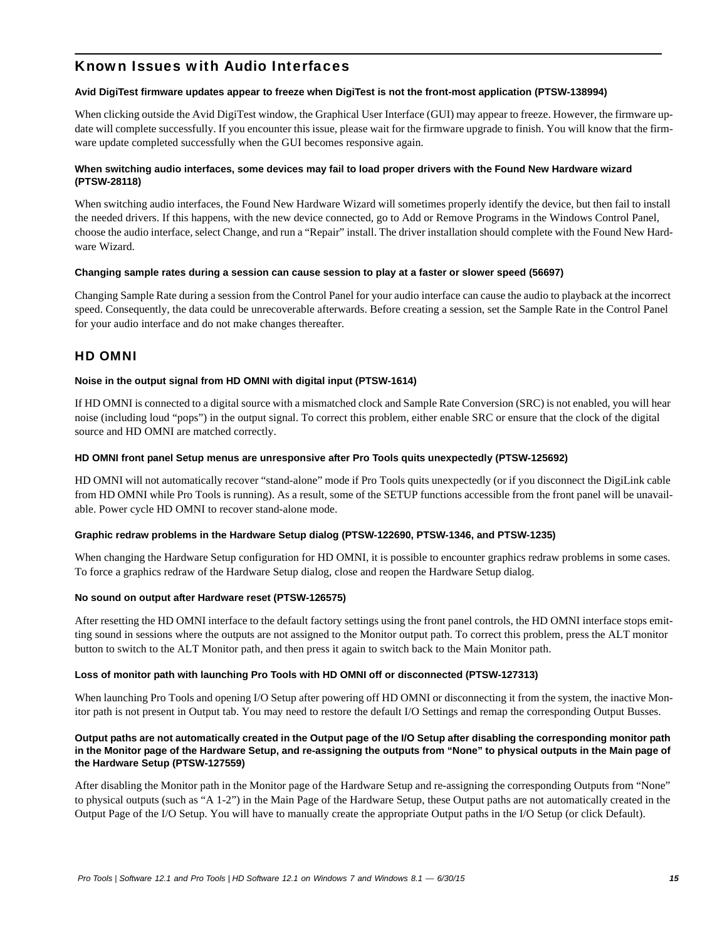# Known Issues with Audio Interfaces

#### **Avid DigiTest firmware updates appear to freeze when DigiTest is not the front-most application (PTSW-138994)**

When clicking outside the Avid DigiTest window, the Graphical User Interface (GUI) may appear to freeze. However, the firmware update will complete successfully. If you encounter this issue, please wait for the firmware upgrade to finish. You will know that the firmware update completed successfully when the GUI becomes responsive again.

# **When switching audio interfaces, some devices may fail to load proper drivers with the Found New Hardware wizard (PTSW-28118)**

When switching audio interfaces, the Found New Hardware Wizard will sometimes properly identify the device, but then fail to install the needed drivers. If this happens, with the new device connected, go to Add or Remove Programs in the Windows Control Panel, choose the audio interface, select Change, and run a "Repair" install. The driver installation should complete with the Found New Hardware Wizard.

#### **Changing sample rates during a session can cause session to play at a faster or slower speed (56697)**

Changing Sample Rate during a session from the Control Panel for your audio interface can cause the audio to playback at the incorrect speed. Consequently, the data could be unrecoverable afterwards. Before creating a session, set the Sample Rate in the Control Panel for your audio interface and do not make changes thereafter.

# HD OMNI

#### **Noise in the output signal from HD OMNI with digital input (PTSW-1614)**

If HD OMNI is connected to a digital source with a mismatched clock and Sample Rate Conversion (SRC) is not enabled, you will hear noise (including loud "pops") in the output signal. To correct this problem, either enable SRC or ensure that the clock of the digital source and HD OMNI are matched correctly.

#### **HD OMNI front panel Setup menus are unresponsive after Pro Tools quits unexpectedly (PTSW-125692)**

HD OMNI will not automatically recover "stand-alone" mode if Pro Tools quits unexpectedly (or if you disconnect the DigiLink cable from HD OMNI while Pro Tools is running). As a result, some of the SETUP functions accessible from the front panel will be unavailable. Power cycle HD OMNI to recover stand-alone mode.

# **Graphic redraw problems in the Hardware Setup dialog (PTSW-122690, PTSW-1346, and PTSW-1235)**

When changing the Hardware Setup configuration for HD OMNI, it is possible to encounter graphics redraw problems in some cases. To force a graphics redraw of the Hardware Setup dialog, close and reopen the Hardware Setup dialog.

#### **No sound on output after Hardware reset (PTSW-126575)**

After resetting the HD OMNI interface to the default factory settings using the front panel controls, the HD OMNI interface stops emitting sound in sessions where the outputs are not assigned to the Monitor output path. To correct this problem, press the ALT monitor button to switch to the ALT Monitor path, and then press it again to switch back to the Main Monitor path.

# **Loss of monitor path with launching Pro Tools with HD OMNI off or disconnected (PTSW-127313)**

When launching Pro Tools and opening I/O Setup after powering off HD OMNI or disconnecting it from the system, the inactive Monitor path is not present in Output tab. You may need to restore the default I/O Settings and remap the corresponding Output Busses.

#### **Output paths are not automatically created in the Output page of the I/O Setup after disabling the corresponding monitor path in the Monitor page of the Hardware Setup, and re-assigning the outputs from "None" to physical outputs in the Main page of the Hardware Setup (PTSW-127559)**

After disabling the Monitor path in the Monitor page of the Hardware Setup and re-assigning the corresponding Outputs from "None" to physical outputs (such as "A 1-2") in the Main Page of the Hardware Setup, these Output paths are not automatically created in the Output Page of the I/O Setup. You will have to manually create the appropriate Output paths in the I/O Setup (or click Default).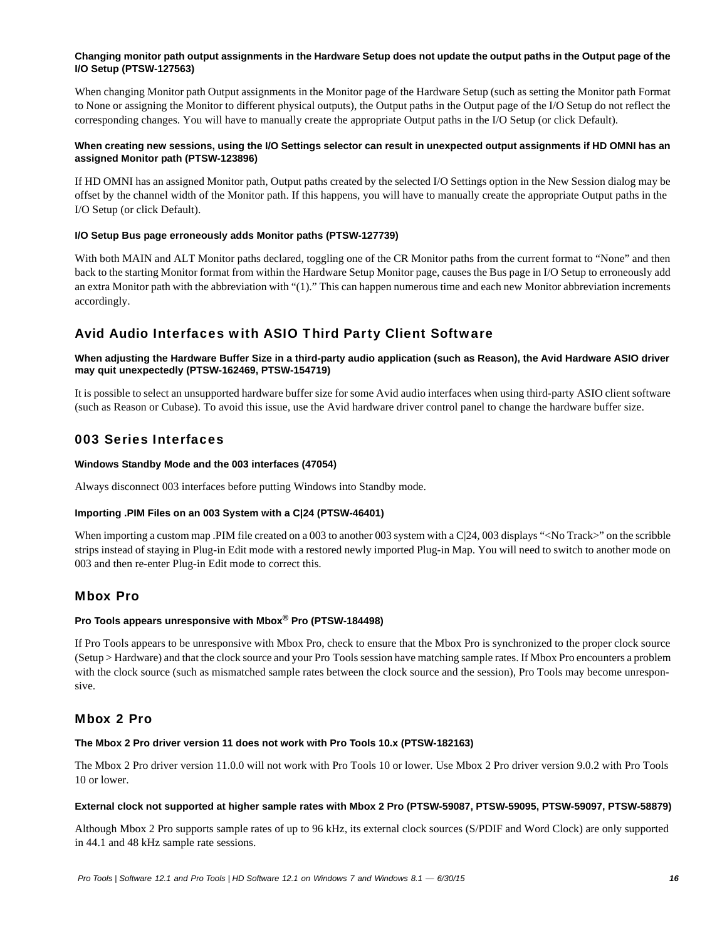# **Changing monitor path output assignments in the Hardware Setup does not update the output paths in the Output page of the I/O Setup (PTSW-127563)**

When changing Monitor path Output assignments in the Monitor page of the Hardware Setup (such as setting the Monitor path Format to None or assigning the Monitor to different physical outputs), the Output paths in the Output page of the I/O Setup do not reflect the corresponding changes. You will have to manually create the appropriate Output paths in the I/O Setup (or click Default).

# **When creating new sessions, using the I/O Settings selector can result in unexpected output assignments if HD OMNI has an assigned Monitor path (PTSW-123896)**

If HD OMNI has an assigned Monitor path, Output paths created by the selected I/O Settings option in the New Session dialog may be offset by the channel width of the Monitor path. If this happens, you will have to manually create the appropriate Output paths in the I/O Setup (or click Default).

# **I/O Setup Bus page erroneously adds Monitor paths (PTSW-127739)**

With both MAIN and ALT Monitor paths declared, toggling one of the CR Monitor paths from the current format to "None" and then back to the starting Monitor format from within the Hardware Setup Monitor page, causes the Bus page in I/O Setup to erroneously add an extra Monitor path with the abbreviation with "(1)." This can happen numerous time and each new Monitor abbreviation increments accordingly.

# Avid Audio Interfaces with ASIO Third Party Client Software

# **When adjusting the Hardware Buffer Size in a third-party audio application (such as Reason), the Avid Hardware ASIO driver may quit unexpectedly (PTSW-162469, PTSW-154719)**

It is possible to select an unsupported hardware buffer size for some Avid audio interfaces when using third-party ASIO client software (such as Reason or Cubase). To avoid this issue, use the Avid hardware driver control panel to change the hardware buffer size.

# 003 Series Interfaces

# **Windows Standby Mode and the 003 interfaces (47054)**

Always disconnect 003 interfaces before putting Windows into Standby mode.

# **Importing .PIM Files on an 003 System with a C|24 (PTSW-46401)**

When importing a custom map .PIM file created on a 003 to another 003 system with a C|24, 003 displays "<No Track>" on the scribble strips instead of staying in Plug-in Edit mode with a restored newly imported Plug-in Map. You will need to switch to another mode on 003 and then re-enter Plug-in Edit mode to correct this.

# Mbox Pro

# **Pro Tools appears unresponsive with Mbox® Pro (PTSW-184498)**

If Pro Tools appears to be unresponsive with Mbox Pro, check to ensure that the Mbox Pro is synchronized to the proper clock source (Setup > Hardware) and that the clock source and your Pro Tools session have matching sample rates. If Mbox Pro encounters a problem with the clock source (such as mismatched sample rates between the clock source and the session), Pro Tools may become unresponsive.

# Mbox 2 Pro

# **The Mbox 2 Pro driver version 11 does not work with Pro Tools 10.x (PTSW-182163)**

The Mbox 2 Pro driver version 11.0.0 will not work with Pro Tools 10 or lower. Use Mbox 2 Pro driver version 9.0.2 with Pro Tools 10 or lower.

# **External clock not supported at higher sample rates with Mbox 2 Pro (PTSW-59087, PTSW-59095, PTSW-59097, PTSW-58879)**

Although Mbox 2 Pro supports sample rates of up to 96 kHz, its external clock sources (S/PDIF and Word Clock) are only supported in 44.1 and 48 kHz sample rate sessions.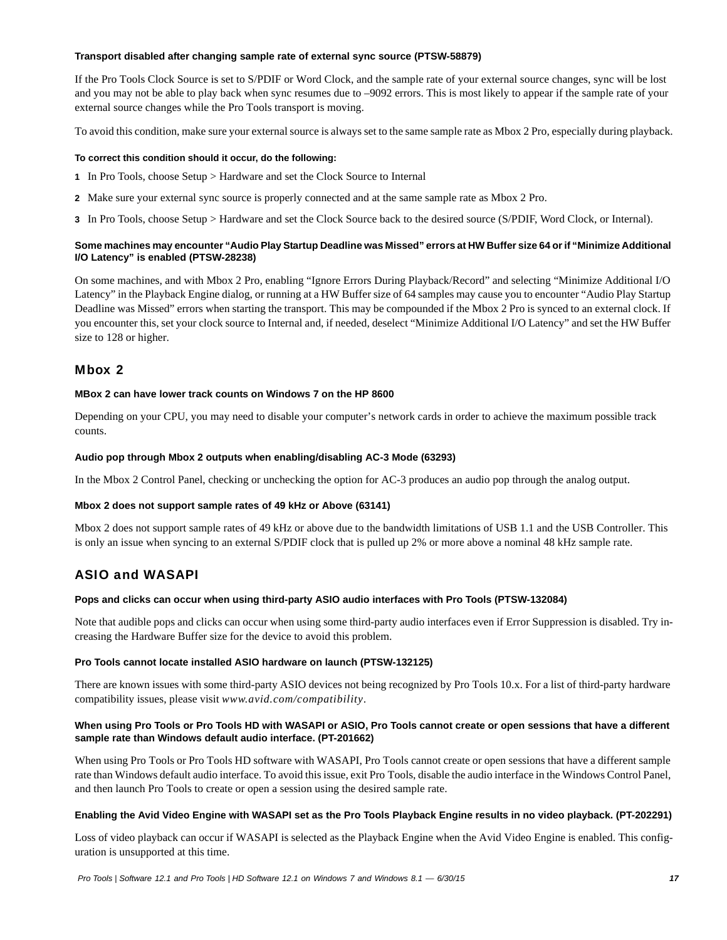#### **Transport disabled after changing sample rate of external sync source (PTSW-58879)**

If the Pro Tools Clock Source is set to S/PDIF or Word Clock, and the sample rate of your external source changes, sync will be lost and you may not be able to play back when sync resumes due to –9092 errors. This is most likely to appear if the sample rate of your external source changes while the Pro Tools transport is moving.

To avoid this condition, make sure your external source is always set to the same sample rate as Mbox 2 Pro, especially during playback.

#### **To correct this condition should it occur, do the following:**

- **1** In Pro Tools, choose Setup > Hardware and set the Clock Source to Internal
- **2** Make sure your external sync source is properly connected and at the same sample rate as Mbox 2 Pro.
- **3** In Pro Tools, choose Setup > Hardware and set the Clock Source back to the desired source (S/PDIF, Word Clock, or Internal).

# **Some machines may encounter "Audio Play Startup Deadline was Missed" errors at HW Buffer size 64 or if "Minimize Additional I/O Latency" is enabled (PTSW-28238)**

On some machines, and with Mbox 2 Pro, enabling "Ignore Errors During Playback/Record" and selecting "Minimize Additional I/O Latency" in the Playback Engine dialog, or running at a HW Buffer size of 64 samples may cause you to encounter "Audio Play Startup Deadline was Missed" errors when starting the transport. This may be compounded if the Mbox 2 Pro is synced to an external clock. If you encounter this, set your clock source to Internal and, if needed, deselect "Minimize Additional I/O Latency" and set the HW Buffer size to 128 or higher.

# Mbox 2

#### **MBox 2 can have lower track counts on Windows 7 on the HP 8600**

Depending on your CPU, you may need to disable your computer's network cards in order to achieve the maximum possible track counts.

#### **Audio pop through Mbox 2 outputs when enabling/disabling AC-3 Mode (63293)**

In the Mbox 2 Control Panel, checking or unchecking the option for AC-3 produces an audio pop through the analog output.

#### **Mbox 2 does not support sample rates of 49 kHz or Above (63141)**

Mbox 2 does not support sample rates of 49 kHz or above due to the bandwidth limitations of USB 1.1 and the USB Controller. This is only an issue when syncing to an external S/PDIF clock that is pulled up 2% or more above a nominal 48 kHz sample rate.

# ASIO and WASAPI

#### **Pops and clicks can occur when using third-party ASIO audio interfaces with Pro Tools (PTSW-132084)**

Note that audible pops and clicks can occur when using some third-party audio interfaces even if Error Suppression is disabled. Try increasing the Hardware Buffer size for the device to avoid this problem.

# **Pro Tools cannot locate installed ASIO hardware on launch (PTSW-132125)**

There are known issues with some third-party ASIO devices not being recognized by Pro Tools 10.x. For a list of third-party hardware compatibility issues, please visit *www.avid.com/compatibility*.

# **When using Pro Tools or Pro Tools HD with WASAPI or ASIO, Pro Tools cannot create or open sessions that have a different sample rate than Windows default audio interface. (PT-201662)**

When using Pro Tools or Pro Tools HD software with WASAPI, Pro Tools cannot create or open sessions that have a different sample rate than Windows default audio interface. To avoid this issue, exit Pro Tools, disable the audio interface in the Windows Control Panel, and then launch Pro Tools to create or open a session using the desired sample rate.

#### **Enabling the Avid Video Engine with WASAPI set as the Pro Tools Playback Engine results in no video playback. (PT-202291)**

Loss of video playback can occur if WASAPI is selected as the Playback Engine when the Avid Video Engine is enabled. This configuration is unsupported at this time.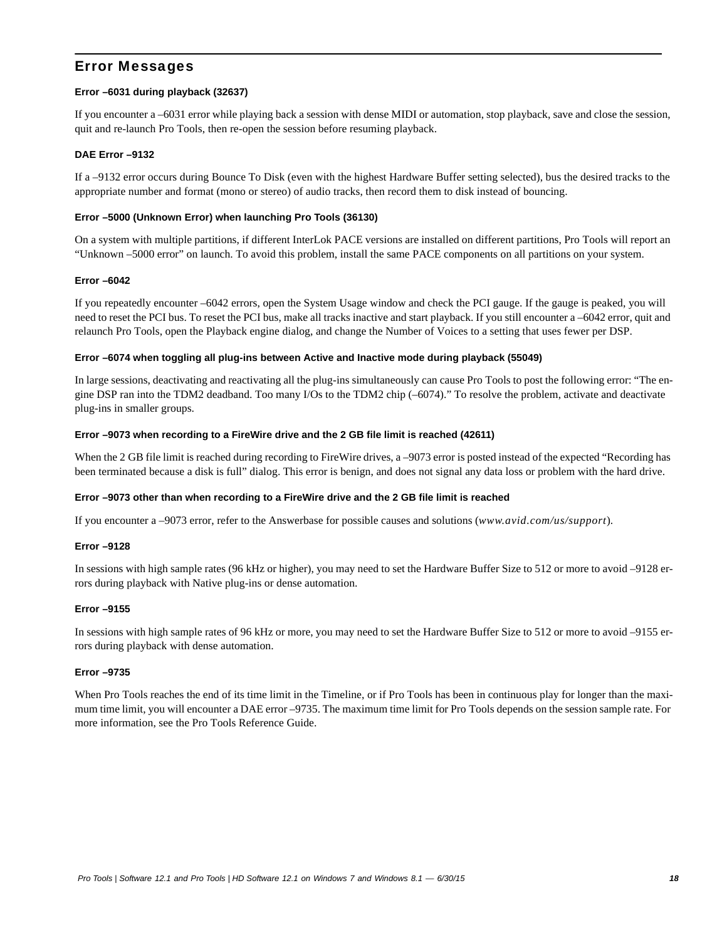# Error Messages

# **Error –6031 during playback (32637)**

If you encounter a –6031 error while playing back a session with dense MIDI or automation, stop playback, save and close the session, quit and re-launch Pro Tools, then re-open the session before resuming playback.

#### **DAE Error –9132**

If a –9132 error occurs during Bounce To Disk (even with the highest Hardware Buffer setting selected), bus the desired tracks to the appropriate number and format (mono or stereo) of audio tracks, then record them to disk instead of bouncing.

#### **Error –5000 (Unknown Error) when launching Pro Tools (36130)**

On a system with multiple partitions, if different InterLok PACE versions are installed on different partitions, Pro Tools will report an "Unknown –5000 error" on launch. To avoid this problem, install the same PACE components on all partitions on your system.

#### **Error –6042**

If you repeatedly encounter –6042 errors, open the System Usage window and check the PCI gauge. If the gauge is peaked, you will need to reset the PCI bus. To reset the PCI bus, make all tracks inactive and start playback. If you still encounter a –6042 error, quit and relaunch Pro Tools, open the Playback engine dialog, and change the Number of Voices to a setting that uses fewer per DSP.

#### **Error –6074 when toggling all plug-ins between Active and Inactive mode during playback (55049)**

In large sessions, deactivating and reactivating all the plug-ins simultaneously can cause Pro Tools to post the following error: "The engine DSP ran into the TDM2 deadband. Too many I/Os to the TDM2 chip (–6074)." To resolve the problem, activate and deactivate plug-ins in smaller groups.

#### **Error –9073 when recording to a FireWire drive and the 2 GB file limit is reached (42611)**

When the 2 GB file limit is reached during recording to FireWire drives, a -9073 error is posted instead of the expected "Recording has been terminated because a disk is full" dialog. This error is benign, and does not signal any data loss or problem with the hard drive.

#### **Error –9073 other than when recording to a FireWire drive and the 2 GB file limit is reached**

If you encounter a –9073 error, refer to the Answerbase for possible causes and solutions (*www.avid.com/us/support*).

#### **Error –9128**

In sessions with high sample rates (96 kHz or higher), you may need to set the Hardware Buffer Size to 512 or more to avoid –9128 errors during playback with Native plug-ins or dense automation.

#### **Error –9155**

In sessions with high sample rates of 96 kHz or more, you may need to set the Hardware Buffer Size to 512 or more to avoid –9155 errors during playback with dense automation.

#### **Error –9735**

When Pro Tools reaches the end of its time limit in the Timeline, or if Pro Tools has been in continuous play for longer than the maximum time limit, you will encounter a DAE error –9735. The maximum time limit for Pro Tools depends on the session sample rate. For more information, see the Pro Tools Reference Guide.